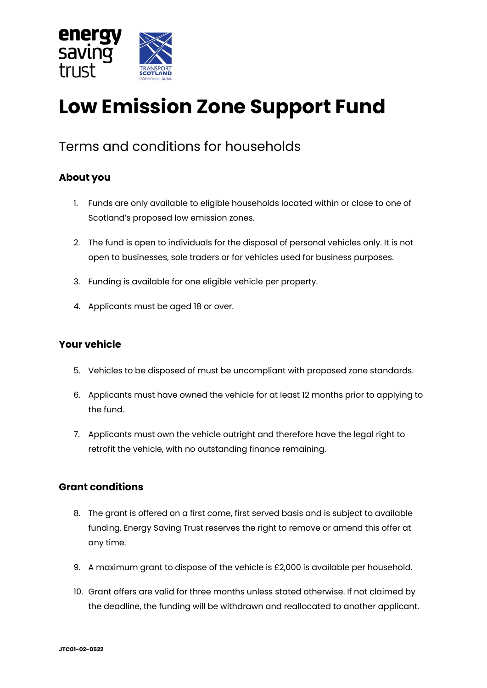

# **Low Emission Zone Support Fund**

# Terms and conditions for households

# **About you**

- 1. Funds are only available to eligible households located within or close to one of Scotland's proposed low emission zones.
- 2. The fund is open to individuals for the disposal of personal vehicles only. It is not open to businesses, sole traders or for vehicles used for business purposes.
- 3. Funding is available for one eligible vehicle per property.
- 4. Applicants must be aged 18 or over.

# **Your vehicle**

- 5. Vehicles to be disposed of must be uncompliant with proposed zone standards.
- 6. Applicants must have owned the vehicle for at least 12 months prior to applying to the fund.
- 7. Applicants must own the vehicle outright and therefore have the legal right to retrofit the vehicle, with no outstanding finance remaining.

# **Grant conditions**

- 8. The grant is offered on a first come, first served basis and is subject to available funding. Energy Saving Trust reserves the right to remove or amend this offer at any time.
- 9. A maximum grant to dispose of the vehicle is £2,000 is available per household.
- 10. Grant offers are valid for three months unless stated otherwise. If not claimed by the deadline, the funding will be withdrawn and reallocated to another applicant.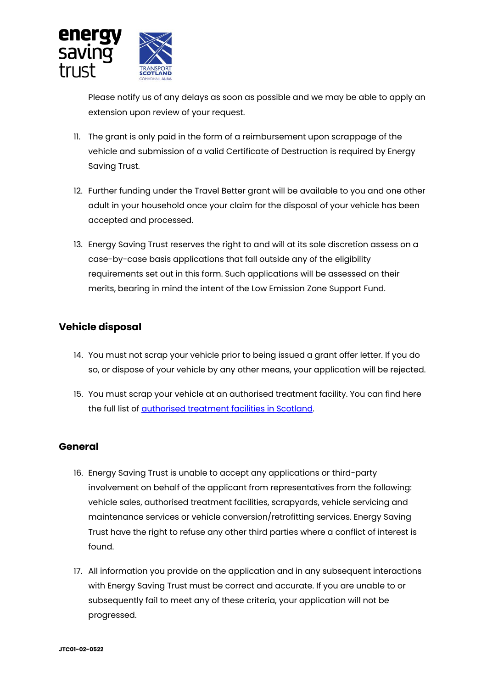

Please notify us of any delays as soon as possible and we may be able to apply an extension upon review of your request.

- 11. The grant is only paid in the form of a reimbursement upon scrappage of the vehicle and submission of a valid Certificate of Destruction is required by Energy Saving Trust.
- 12. Further funding under the Travel Better grant will be available to you and one other adult in your household once your claim for the disposal of your vehicle has been accepted and processed.
- 13. Energy Saving Trust reserves the right to and will at its sole discretion assess on a case-by-case basis applications that fall outside any of the eligibility requirements set out in this form. Such applications will be assessed on their merits, bearing in mind the intent of the Low Emission Zone Support Fund.

# **Vehicle disposal**

- 14. You must not scrap your vehicle prior to being issued a grant offer letter. If you do so, or dispose of your vehicle by any other means, your application will be rejected.
- 15. You must scrap your vehicle at an authorised treatment facility. You can find here the full list of [authorised treatment facilities in Scotland.](https://www.sepa.org.uk/regulations/waste/end-of-life-vehicles/)

#### **General**

- 16. Energy Saving Trust is unable to accept any applications or third-party involvement on behalf of the applicant from representatives from the following: vehicle sales, authorised treatment facilities, scrapyards, vehicle servicing and maintenance services or vehicle conversion/retrofitting services. Energy Saving Trust have the right to refuse any other third parties where a conflict of interest is found.
- 17. All information you provide on the application and in any subsequent interactions with Energy Saving Trust must be correct and accurate. If you are unable to or subsequently fail to meet any of these criteria, your application will not be progressed.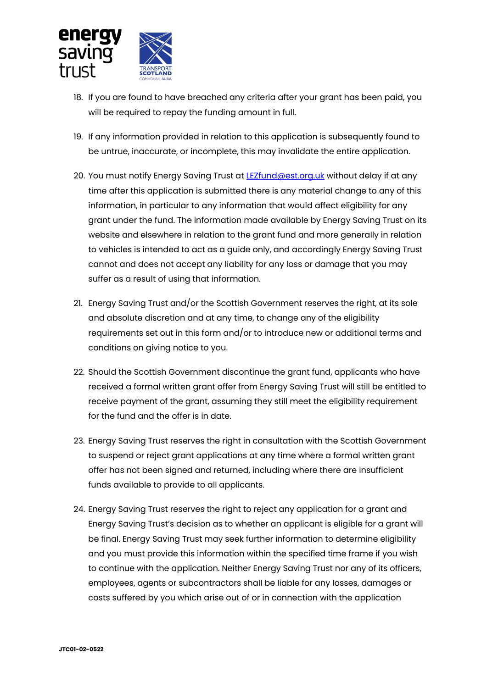

- 18. If you are found to have breached any criteria after your grant has been paid, you will be required to repay the funding amount in full.
- 19. If any information provided in relation to this application is subsequently found to be untrue, inaccurate, or incomplete, this may invalidate the entire application.
- 20. You must notify Energy Saving Trust at **[LEZfund@est.org.uk](mailto:LEZfund@est.org.uk)** without delay if at any time after this application is submitted there is any material change to any of this information, in particular to any information that would affect eligibility for any grant under the fund. The information made available by Energy Saving Trust on its website and elsewhere in relation to the grant fund and more generally in relation to vehicles is intended to act as a guide only, and accordingly Energy Saving Trust cannot and does not accept any liability for any loss or damage that you may suffer as a result of using that information.
- 21. Energy Saving Trust and/or the Scottish Government reserves the right, at its sole and absolute discretion and at any time, to change any of the eligibility requirements set out in this form and/or to introduce new or additional terms and conditions on giving notice to you.
- 22. Should the Scottish Government discontinue the grant fund, applicants who have received a formal written grant offer from Energy Saving Trust will still be entitled to receive payment of the grant, assuming they still meet the eligibility requirement for the fund and the offer is in date.
- 23. Energy Saving Trust reserves the right in consultation with the Scottish Government to suspend or reject grant applications at any time where a formal written grant offer has not been signed and returned, including where there are insufficient funds available to provide to all applicants.
- 24. Energy Saving Trust reserves the right to reject any application for a grant and Energy Saving Trust's decision as to whether an applicant is eligible for a grant will be final. Energy Saving Trust may seek further information to determine eligibility and you must provide this information within the specified time frame if you wish to continue with the application. Neither Energy Saving Trust nor any of its officers, employees, agents or subcontractors shall be liable for any losses, damages or costs suffered by you which arise out of or in connection with the application